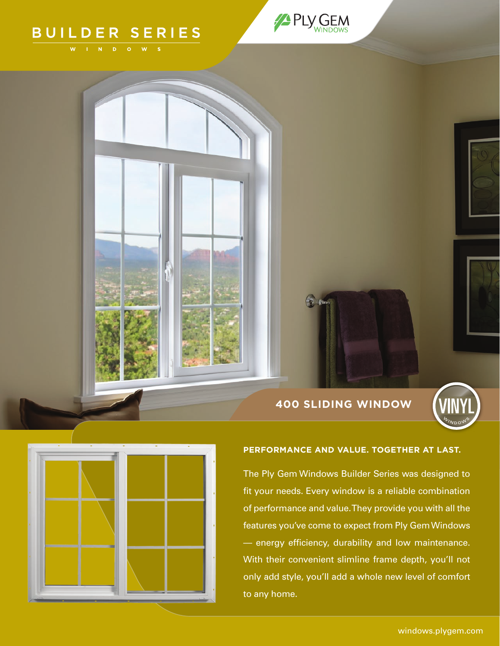# BUILDER SERIES







## **PERFORMANCE AND VALUE. TOGETHER AT LAST.**

The Ply Gem Windows Builder Series was designed to fit your needs. Every window is a reliable combination of performance and value. They provide you with all the features you've come to expect from Ply Gem Windows — energy efficiency, durability and low maintenance. With their convenient slimline frame depth, you'll not only add style, you'll add a whole new level of comfort to any home.